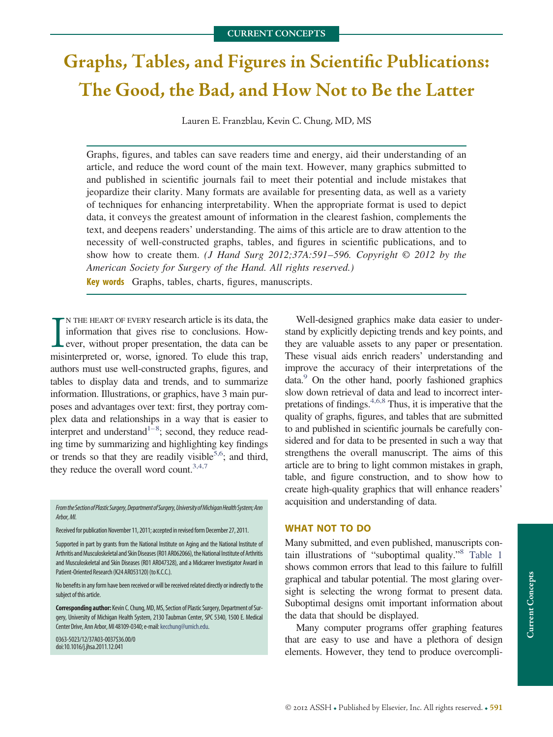# **Graphs, Tables, and Figures in Scientific Publications: The Good, the Bad, and How Not to Be the Latter**

Lauren E. Franzblau, Kevin C. Chung, MD, MS

Graphs, figures, and tables can save readers time and energy, aid their understanding of an article, and reduce the word count of the main text. However, many graphics submitted to and published in scientific journals fail to meet their potential and include mistakes that jeopardize their clarity. Many formats are available for presenting data, as well as a variety of techniques for enhancing interpretability. When the appropriate format is used to depict data, it conveys the greatest amount of information in the clearest fashion, complements the text, and deepens readers' understanding. The aims of this article are to draw attention to the necessity of well-constructed graphs, tables, and figures in scientific publications, and to show how to create them. *(J Hand Surg 2012;37A:591*–*596. Copyright © 2012 by the American Society for Surgery of the Hand. All rights reserved.)*

**Key words** Graphs, tables, charts, figures, manuscripts.

IN THE HEART OF EVERY research article is its data, the information that gives rise to conclusions. However, without proper presentation, the data can be misinterpreted or, worse, ignored. To elude this trap, N THE HEART OF EVERY research article is its data, the information that gives rise to conclusions. However, without proper presentation, the data can be authors must use well-constructed graphs, figures, and tables to display data and trends, and to summarize information. Illustrations, or graphics, have 3 main purposes and advantages over text: first, they portray complex data and relationships in a way that is easier to interpret and understand<sup> $1-8$ </sup>; second, they reduce reading time by summarizing and highlighting key findings or trends so that they are readily visible<sup>5,6</sup>; and third, they reduce the overall word count. $3,4,7$ 

*FromtheSectionofPlasticSurgery,DepartmentofSurgery,UniversityofMichiganHealthSystem;Ann Arbor,MI.*

Received for publication November 11, 2011; accepted inrevised form December 27, 2011.

Supported in part by grants from the National Institute on Aging and the National Institute of Arthritis and Musculoskeletal and Skin Diseases (R01 AR062066), the National Institute of Arthritis and Musculoskeletal and Skin Diseases (R01 AR047328), and a Midcareer Investigator Award in Patient-Oriented Research (K24 AR053120) (to K.C.C.).

No benefits in any form have been received or will be received related directly or indirectly to the subject of this article.

**Corresponding author:** Kevin C. Chung,MD,MS, Section of Plastic Surgery, Department of Surgery, University of Michigan Health System, 2130 Taubman Center, SPC 5340, 1500 E. Medical Center Drive, Ann Arbor, MI 48109-0340; e-mail: kecchung@umich.edu.

0363-5023/12/37A03-0037\$36.00/0 doi:10.1016/j.jhsa.2011.12.041

Well-designed graphics make data easier to understand by explicitly depicting trends and key points, and they are valuable assets to any paper or presentation. These visual aids enrich readers' understanding and improve the accuracy of their interpretations of the data[.9](#page-5-3) On the other hand, poorly fashioned graphics slow down retrieval of data and lead to incorrect interpretations of findings[.4,6,8](#page-5-4) Thus, it is imperative that the quality of graphs, figures, and tables that are submitted to and published in scientific journals be carefully considered and for data to be presented in such a way that strengthens the overall manuscript. The aims of this article are to bring to light common mistakes in graph, table, and figure construction, and to show how to create high-quality graphics that will enhance readers' acquisition and understanding of data.

## **WHAT NOT TO DO**

Many submitted, and even published, manuscripts contain illustrations of "suboptimal quality.["8](#page-5-5) [Table 1](#page-1-0) shows common errors that lead to this failure to fulfill graphical and tabular potential. The most glaring oversight is selecting the wrong format to present data. Suboptimal designs omit important information about the data that should be displayed.

Many computer programs offer graphing features that are easy to use and have a plethora of design elements. However, they tend to produce overcompli-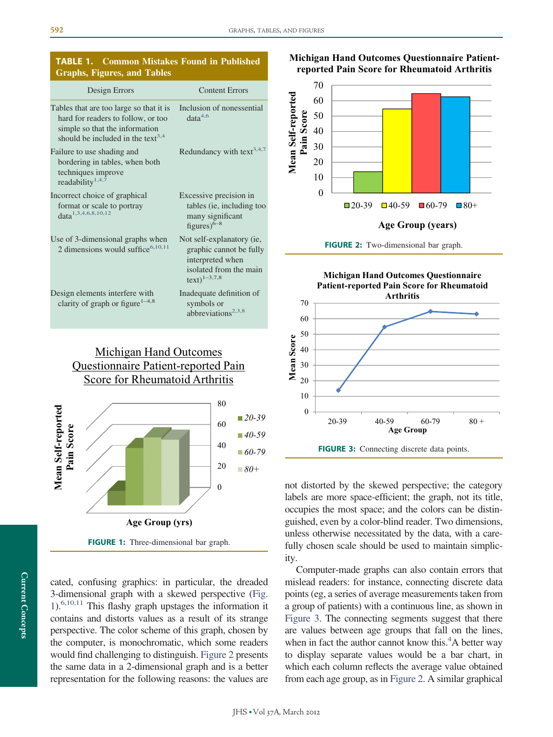## <span id="page-1-0"></span>**TABLE 1. Common Mistakes Found in Published Graphs, Figures, and Tables**

| Design Errors                                                                                                                                                    | <b>Content Errors</b>                                                                                                         |
|------------------------------------------------------------------------------------------------------------------------------------------------------------------|-------------------------------------------------------------------------------------------------------------------------------|
| Tables that are too large so that it is<br>hard for readers to follow, or too<br>simple so that the information<br>should be included in the text <sup>3,4</sup> | Inclusion of nonessential<br>data <sup>4,6</sup>                                                                              |
| Failure to use shading and<br>bordering in tables, when both<br>techniques improve<br>readability <sup>1,4,7</sup>                                               | Redundancy with text <sup>3,4,7</sup>                                                                                         |
| Incorrect choice of graphical<br>format or scale to portray<br>data <sup>1,3,4,6,8,10,12</sup>                                                                   | Excessive precision in<br>tables (ie, including too<br>many significant<br>figures) $6-8$                                     |
| Use of 3-dimensional graphs when<br>2 dimensions would suffice $6,10,11$                                                                                         | Not self-explanatory (ie,<br>graphic cannot be fully<br>interpreted when<br>isolated from the main<br>$text{text})^{1-3,7,8}$ |
| Design elements interfere with<br>clarity of graph or figure <sup>1-4,8</sup>                                                                                    | Inadequate definition of<br>symbols or<br>abbreviations <sup>2,3,8</sup>                                                      |

## Michigan Hand Outcomes Questionnaire Patient-reported Pain Score for Rheumatoid Arthritis



<span id="page-1-1"></span>**FIGURE 1:** Three-dimensional bar graph.

cated, confusing graphics: in particular, the dreaded 3-dimensional graph with a skewed perspective [\(Fig.](#page-1-1)  $1$ <sup>6,10,11</sup> This flashy graph upstages the information it contains and distorts values as a result of its strange perspective. The color scheme of this graph, chosen by the computer, is monochromatic, which some readers would find challenging to distinguish. [Figure 2](#page-1-2) presents the same data in a 2-dimensional graph and is a better representation for the following reasons: the values are

**Michigan Hand Outcomes Questionnaire Patientreported Pain Score for Rheumatoid Arthritis**



<span id="page-1-2"></span>



<span id="page-1-3"></span>not distorted by the skewed perspective; the category labels are more space-efficient; the graph, not its title, occupies the most space; and the colors can be distinguished, even by a color-blind reader. Two dimensions, unless otherwise necessitated by the data, with a carefully chosen scale should be used to maintain simplicity.

Computer-made graphs can also contain errors that mislead readers: for instance, connecting discrete data points (eg, a series of average measurements taken from a group of patients) with a continuous line, as shown in [Figure 3.](#page-1-3) The connecting segments suggest that there are values between age groups that fall on the lines, when in fact the author cannot know this.<sup>4</sup>A better way to display separate values would be a bar chart, in which each column reflects the average value obtained from each age group, as in [Figure 2.](#page-1-2) A similar graphical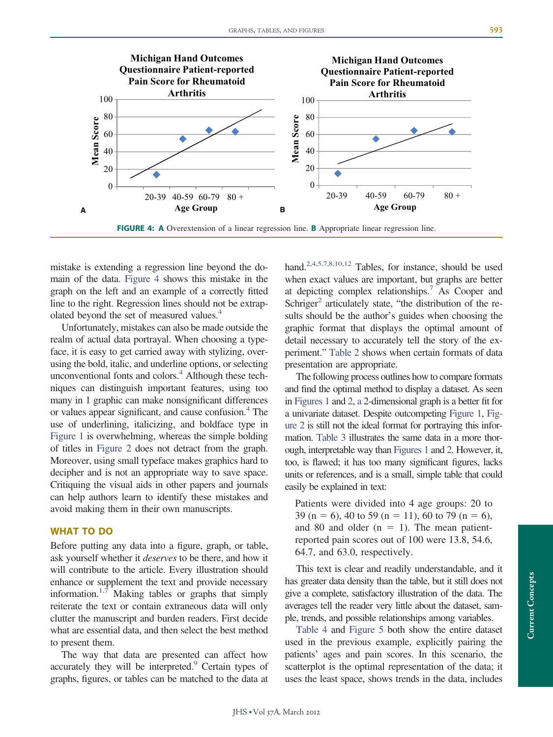

<span id="page-2-0"></span>**FIGURE 4: A** Overextension of a linear regression line. **B** Appropriate linear regression line.

mistake is extending a regression line beyond the domain of the data. [Figure 4](#page-2-0) shows this mistake in the graph on the left and an example of a correctly fitted line to the right. Regression lines should not be extrapolated beyond the set of measured values.<sup>4</sup>

Unfortunately, mistakes can also be made outside the realm of actual data portrayal. When choosing a typeface, it is easy to get carried away with stylizing, overusing the bold, italic, and underline options, or selecting unconventional fonts and colors. $4$  Although these techniques can distinguish important features, using too many in 1 graphic can make nonsignificant differences or values appear significant, and cause confusion.<sup>4</sup> The use of underlining, italicizing, and boldface type in [Figure 1](#page-1-1) is overwhelming, whereas the simple bolding of titles in [Figure 2](#page-1-2) does not detract from the graph. Moreover, using small typeface makes graphics hard to decipher and is not an appropriate way to save space. Critiquing the visual aids in other papers and journals can help authors learn to identify these mistakes and avoid making them in their own manuscripts.

## **WHAT TO DO**

Before putting any data into a figure, graph, or table, ask yourself whether it *deserves* to be there, and how it will contribute to the article. Every illustration should enhance or supplement the text and provide necessary information.<sup>1,7</sup> Making tables or graphs that simply reiterate the text or contain extraneous data will only clutter the manuscript and burden readers. First decide what are essential data, and then select the best method to present them.

The way that data are presented can affect how accurately they will be interpreted. $\degree$  Certain types of graphs, figures, or tables can be matched to the data at

hand.<sup>2,4,5,7,8,10,12</sup> Tables, for instance, should be used when exact values are important, but graphs are better at depicting complex relationships[.7](#page-5-8) As Cooper and Schriger<sup>2</sup> articulately state, "the distribution of the results should be the author's guides when choosing the graphic format that displays the optimal amount of detail necessary to accurately tell the story of the experiment." [Table 2](#page-3-0) shows when certain formats of data presentation are appropriate.

The following process outlines how to compare formats and find the optimal method to display a dataset. As seen in [Figures 1](#page-1-1) and [2,](#page-1-2) a 2-dimensional graph is a better fit for a univariate dataset. Despite outcompeting [Figure 1,](#page-1-1) [Fig](#page-1-2)[ure 2](#page-1-2) is still not the ideal format for portraying this information. [Table 3](#page-4-0) illustrates the same data in a more thorough, interpretable way than [Figures 1](#page-1-1) and [2.](#page-1-2) However, it, too, is flawed; it has too many significant figures, lacks units or references, and is a small, simple table that could easily be explained in text:

Patients were divided into 4 age groups: 20 to 39 (n = 6), 40 to 59 (n = 11), 60 to 79 (n = 6), and 80 and older  $(n = 1)$ . The mean patientreported pain scores out of 100 were 13.8, 54.6, 64.7, and 63.0, respectively.

This text is clear and readily understandable, and it has greater data density than the table, but it still does not give a complete, satisfactory illustration of the data. The averages tell the reader very little about the dataset, sample, trends, and possible relationships among variables.

[Table 4](#page-4-1) and [Figure 5](#page-5-9) both show the entire dataset used in the previous example, explicitly pairing the patients' ages and pain scores. In this scenario, the scatterplot is the optimal representation of the data; it uses the least space, shows trends in the data, includes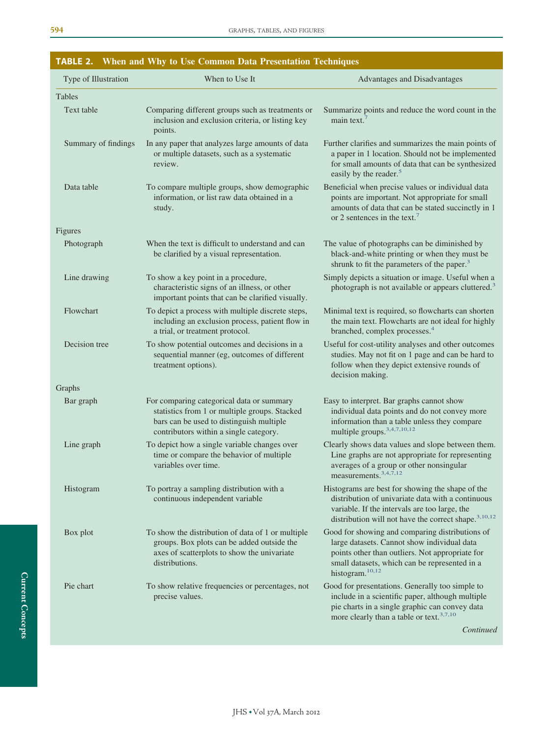<span id="page-3-0"></span>

| TABLE 2.             | When and Why to Use Common Data Presentation Techniques                                                                                                                          |                                                                                                                                                                                                                                   |
|----------------------|----------------------------------------------------------------------------------------------------------------------------------------------------------------------------------|-----------------------------------------------------------------------------------------------------------------------------------------------------------------------------------------------------------------------------------|
| Type of Illustration | When to Use It                                                                                                                                                                   | Advantages and Disadvantages                                                                                                                                                                                                      |
| Tables               |                                                                                                                                                                                  |                                                                                                                                                                                                                                   |
| Text table           | Comparing different groups such as treatments or<br>inclusion and exclusion criteria, or listing key<br>points.                                                                  | Summarize points and reduce the word count in the<br>main text. $7$                                                                                                                                                               |
| Summary of findings  | In any paper that analyzes large amounts of data<br>or multiple datasets, such as a systematic<br>review.                                                                        | Further clarifies and summarizes the main points of<br>a paper in 1 location. Should not be implemented<br>for small amounts of data that can be synthesized<br>easily by the reader. <sup>5</sup>                                |
| Data table           | To compare multiple groups, show demographic<br>information, or list raw data obtained in a<br>study.                                                                            | Beneficial when precise values or individual data<br>points are important. Not appropriate for small<br>amounts of data that can be stated succinctly in 1<br>or 2 sentences in the text. <sup>7</sup>                            |
| Figures              |                                                                                                                                                                                  |                                                                                                                                                                                                                                   |
| Photograph           | When the text is difficult to understand and can<br>be clarified by a visual representation.                                                                                     | The value of photographs can be diminished by<br>black-and-white printing or when they must be<br>shrunk to fit the parameters of the paper. <sup>3</sup>                                                                         |
| Line drawing         | To show a key point in a procedure,<br>characteristic signs of an illness, or other<br>important points that can be clarified visually.                                          | Simply depicts a situation or image. Useful when a<br>photograph is not available or appears cluttered. <sup>3</sup>                                                                                                              |
| Flowchart            | To depict a process with multiple discrete steps,<br>including an exclusion process, patient flow in<br>a trial, or treatment protocol.                                          | Minimal text is required, so flowcharts can shorten<br>the main text. Flowcharts are not ideal for highly<br>branched, complex processes. <sup>4</sup>                                                                            |
| Decision tree        | To show potential outcomes and decisions in a<br>sequential manner (eg, outcomes of different<br>treatment options).                                                             | Useful for cost-utility analyses and other outcomes<br>studies. May not fit on 1 page and can be hard to<br>follow when they depict extensive rounds of<br>decision making.                                                       |
| Graphs               |                                                                                                                                                                                  |                                                                                                                                                                                                                                   |
| Bar graph            | For comparing categorical data or summary<br>statistics from 1 or multiple groups. Stacked<br>bars can be used to distinguish multiple<br>contributors within a single category. | Easy to interpret. Bar graphs cannot show<br>individual data points and do not convey more<br>information than a table unless they compare<br>multiple groups. <sup>3,4,7,10,12</sup>                                             |
| Line graph           | To depict how a single variable changes over<br>time or compare the behavior of multiple<br>variables over time.                                                                 | Clearly shows data values and slope between them.<br>Line graphs are not appropriate for representing<br>averages of a group or other nonsingular<br>measurements. <sup>3,4,7,12</sup>                                            |
| Histogram            | To portray a sampling distribution with a<br>continuous independent variable                                                                                                     | Histograms are best for showing the shape of the<br>distribution of univariate data with a continuous<br>variable. If the intervals are too large, the<br>distribution will not have the correct shape. <sup>3,10,12</sup>        |
| Box plot             | To show the distribution of data of 1 or multiple<br>groups. Box plots can be added outside the<br>axes of scatterplots to show the univariate<br>distributions.                 | Good for showing and comparing distributions of<br>large datasets. Cannot show individual data<br>points other than outliers. Not appropriate for<br>small datasets, which can be represented in a<br>histogram. <sup>10,12</sup> |
| Pie chart            | To show relative frequencies or percentages, not<br>precise values.                                                                                                              | Good for presentations. Generally too simple to<br>include in a scientific paper, although multiple<br>pie charts in a single graphic can convey data<br>more clearly than a table or text. <sup>3,7,10</sup>                     |
|                      |                                                                                                                                                                                  | Continued                                                                                                                                                                                                                         |

*Continued*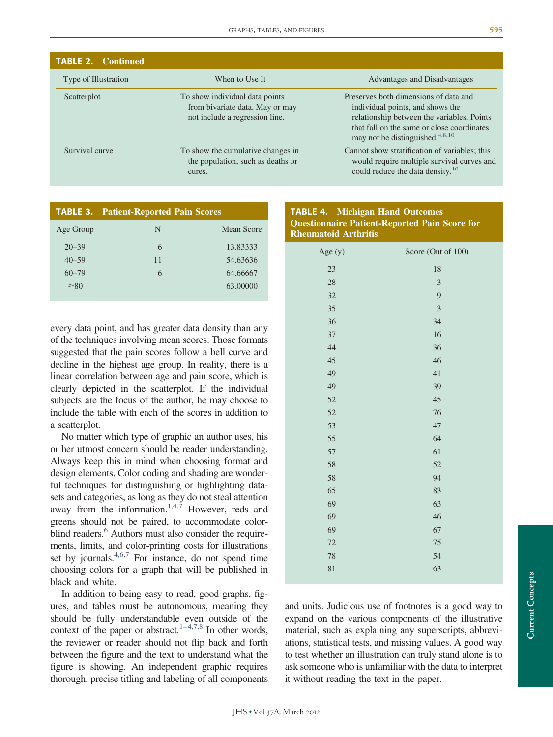| <b>TABLE 2. Continued</b> |                                                                                                     |                                                                                                                                                                                                                      |
|---------------------------|-----------------------------------------------------------------------------------------------------|----------------------------------------------------------------------------------------------------------------------------------------------------------------------------------------------------------------------|
| Type of Illustration      | When to Use It                                                                                      | Advantages and Disadvantages                                                                                                                                                                                         |
| Scatterplot               | To show individual data points<br>from bivariate data. May or may<br>not include a regression line. | Preserves both dimensions of data and<br>individual points, and shows the<br>relationship between the variables. Points<br>that fall on the same or close coordinates<br>may not be distinguished. <sup>4,8,10</sup> |
| Survival curve            | To show the cumulative changes in<br>the population, such as deaths or<br>cures.                    | Cannot show stratification of variables; this<br>would require multiple survival curves and<br>could reduce the data density. <sup>10</sup>                                                                          |

<span id="page-4-0"></span>

|           | <b>TABLE 3. Patient-Reported Pain Scores</b> |            |  |
|-----------|----------------------------------------------|------------|--|
| Age Group | N                                            | Mean Score |  |
| $20 - 39$ | 6                                            | 13.83333   |  |
| $40 - 59$ | 11                                           | 54.63636   |  |
| $60 - 79$ | 6                                            | 64.66667   |  |
| $\geq 80$ |                                              | 63,00000   |  |
|           |                                              |            |  |

every data point, and has greater data density than any of the techniques involving mean scores. Those formats suggested that the pain scores follow a bell curve and decline in the highest age group. In reality, there is a linear correlation between age and pain score, which is clearly depicted in the scatterplot. If the individual subjects are the focus of the author, he may choose to include the table with each of the scores in addition to a scatterplot.

No matter which type of graphic an author uses, his or her utmost concern should be reader understanding. Always keep this in mind when choosing format and design elements. Color coding and shading are wonderful techniques for distinguishing or highlighting datasets and categories, as long as they do not steal attention away from the information.<sup>1,4,7</sup> However, reds and greens should not be paired, to accommodate colorblind readers.<sup>6</sup> Authors must also consider the requirements, limits, and color-printing costs for illustrations set by journals. $4,6,7$  For instance, do not spend time choosing colors for a graph that will be published in black and white.

In addition to being easy to read, good graphs, figures, and tables must be autonomous, meaning they should be fully understandable even outside of the context of the paper or abstract.<sup>1–4,7,8</sup> In other words, the reviewer or reader should not flip back and forth between the figure and the text to understand what the figure is showing. An independent graphic requires thorough, precise titling and labeling of all components

## <span id="page-4-1"></span>**TABLE 4. Michigan Hand Outcomes Questionnaire Patient-Reported Pain Score for Rheumatoid Arthritis**

| Age (y) | Score (Out of 100) |
|---------|--------------------|
| 23      | $18\,$             |
| 28      | 3                  |
| 32      | 9                  |
| 35      | $\overline{3}$     |
| 36      | 34                 |
| 37      | 16                 |
| 44      | 36                 |
| 45      | 46                 |
| 49      | 41                 |
| 49      | 39                 |
| 52      | 45                 |
| 52      | 76                 |
| 53      | 47                 |
| 55      | 64                 |
| 57      | 61                 |
| 58      | 52                 |
| 58      | 94                 |
| 65      | 83                 |
| 69      | 63                 |
| 69      | 46                 |
| 69      | 67                 |
| 72      | $75\,$             |
| 78      | 54                 |
| 81      | 63                 |
|         |                    |

and units. Judicious use of footnotes is a good way to expand on the various components of the illustrative material, such as explaining any superscripts, abbreviations, statistical tests, and missing values. A good way to test whether an illustration can truly stand alone is to ask someone who is unfamiliar with the data to interpret it without reading the text in the paper.